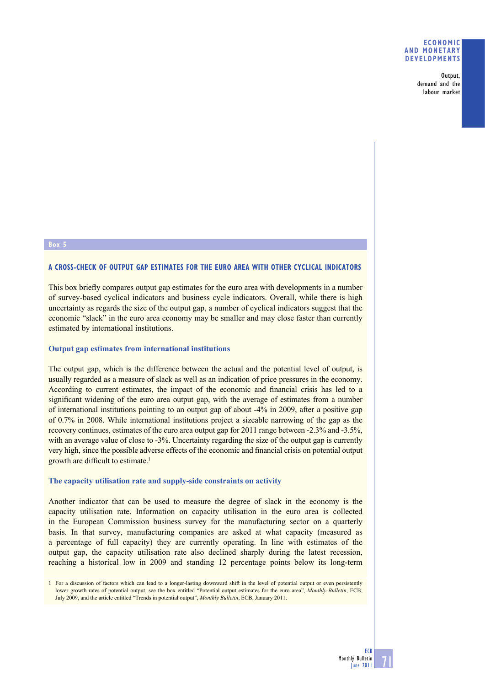#### **ECONOMIC AND MONETARY DEVELOPMENTS**

Output, demand and the labour market

#### **A CROSS-CHECK OF OUTPUT GAP ESTIMATES FOR THE EURO AREA WITH OTHER CYCLICAL INDICATORS**

This box briefly compares output gap estimates for the euro area with developments in a number of survey-based cyclical indicators and business cycle indicators. Overall, while there is high uncertainty as regards the size of the output gap, a number of cyclical indicators suggest that the economic "slack" in the euro area economy may be smaller and may close faster than currently estimated by international institutions.

## **Output gap estimates from international institutions**

The output gap, which is the difference between the actual and the potential level of output, is usually regarded as a measure of slack as well as an indication of price pressures in the economy. According to current estimates, the impact of the economic and financial crisis has led to a significant widening of the euro area output gap, with the average of estimates from a number of international institutions pointing to an output gap of about -4% in 2009, after a positive gap of 0.7% in 2008. While international institutions project a sizeable narrowing of the gap as the recovery continues, estimates of the euro area output gap for 2011 range between -2.3% and -3.5%, with an average value of close to -3%. Uncertainty regarding the size of the output gap is currently very high, since the possible adverse effects of the economic and financial crisis on potential output growth are difficult to estimate.<sup>1</sup>

#### **The capacity utilisation rate and supply-side constraints on activity**

Another indicator that can be used to measure the degree of slack in the economy is the capacity utilisation rate. Information on capacity utilisation in the euro area is collected in the European Commission business survey for the manufacturing sector on a quarterly basis. In that survey, manufacturing companies are asked at what capacity (measured as a percentage of full capacity) they are currently operating. In line with estimates of the output gap, the capacity utilisation rate also declined sharply during the latest recession, reaching a historical low in 2009 and standing 12 percentage points below its long-term

71

<sup>1</sup> For a discussion of factors which can lead to a longer-lasting downward shift in the level of potential output or even persistently lower growth rates of potential output, see the box entitled "Potential output estimates for the euro area", *Monthly Bulletin*, ECB, July 2009, and the article entitled "Trends in potential output", *Monthly Bulletin*, ECB, January 2011.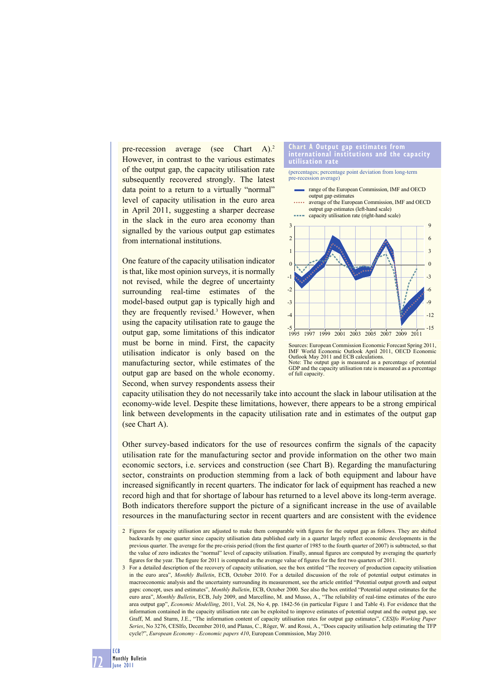pre-recession average (see Chart A).<sup>2</sup> However, in contrast to the various estimates of the output gap, the capacity utilisation rate subsequently recovered strongly. The latest data point to a return to a virtually "normal" level of capacity utilisation in the euro area in April 2011, suggesting a sharper decrease in the slack in the euro area economy than signalled by the various output gap estimates from international institutions.

One feature of the capacity utilisation indicator is that, like most opinion surveys, it is normally not revised, while the degree of uncertainty surrounding real-time estimates of the model-based output gap is typically high and they are frequently revised.3 However, when using the capacity utilisation rate to gauge the output gap, some limitations of this indicator must be borne in mind. First, the capacity utilisation indicator is only based on the manufacturing sector, while estimates of the output gap are based on the whole economy. Second, when survey respondents assess their

# **Chart A Output gap estimates from international institutions and the capacity**

(percentages; percentage point deviation from long-term pre-recession average)

- range of the European Commission, IMF and OECD output gap estimates
- **.....** average of the European Commission, IMF and OECD output gap estimates (left-hand scale)



Sources: European Commission Economic Forecast Spring 2011, IMF World Economic Outlook April 2011, OECD Economic Outlook May 2011 and ECB calculations. Note: The output gap is measured as a percentage of potential GDP and the capacity utilisation rate is measured as a percentage of full capacity.

capacity utilisation they do not necessarily take into account the slack in labour utilisation at the economy-wide level. Despite these limitations, however, there appears to be a strong empirical link between developments in the capacity utilisation rate and in estimates of the output gap (see Chart A).

Other survey-based indicators for the use of resources confirm the signals of the capacity utilisation rate for the manufacturing sector and provide information on the other two main economic sectors, i.e. services and construction (see Chart B). Regarding the manufacturing sector, constraints on production stemming from a lack of both equipment and labour have increased significantly in recent quarters. The indicator for lack of equipment has reached a new record high and that for shortage of labour has returned to a level above its long-term average. Both indicators therefore support the picture of a significant increase in the use of available resources in the manufacturing sector in recent quarters and are consistent with the evidence

72

<sup>2</sup> Figures for capacity utilisation are adjusted to make them comparable with figures for the output gap as follows. They are shifted backwards by one quarter since capacity utilisation data published early in a quarter largely reflect economic developments in the previous quarter. The average for the pre-crisis period (from the first quarter of 1985 to the fourth quarter of 2007) is subtracted, so that the value of zero indicates the "normal" level of capacity utilisation. Finally, annual figures are computed by averaging the quarterly figures for the year. The figure for 2011 is computed as the average value of figures for the first two quarters of 2011.

<sup>3</sup> For a detailed description of the recovery of capacity utilisation, see the box entitled "The recovery of production capacity utilisation in the euro area", *Monthly Bulletin*, ECB, October 2010. For a detailed discussion of the role of potential output estimates in macroeconomic analysis and the uncertainty surrounding its measurement, see the article entitled "Potential output growth and output gaps: concept, uses and estimates", *Monthly Bulletin*, ECB, October 2000. See also the box entitled "Potential output estimates for the euro area", *Monthly Bulletin*, ECB, July 2009, and Marcellino, M. and Musso, A., "The reliability of real-time estimates of the euro area output gap", *Economic Modelling*, 2011, Vol. 28, No 4, pp. 1842-56 (in particular Figure 1 and Table 4). For evidence that the information contained in the capacity utilisation rate can be exploited to improve estimates of potential output and the output gap, see Graff, M. and Sturm, J.E., "The information content of capacity utilisation rates for output gap estimates", *CESIfo Working Paper Series*, No 3276, CESIfo, December 2010, and Planas, C., Röger, W. and Rossi, A., "Does capacity utilisation help estimating the TFP cycle?", *European Economy - Economic papers 410*, European Commission, May 2010.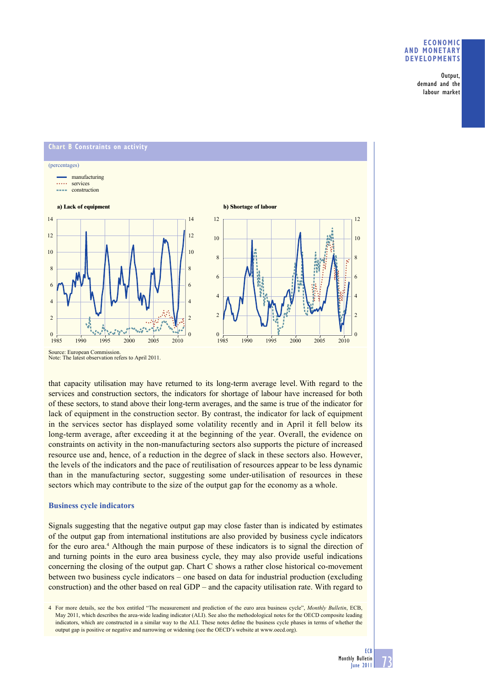### **ECONOMIC AND MONETARY DEVELOPMENTS**

Output, demand and the labour market



Note: The latest observation refers to April 2011.

that capacity utilisation may have returned to its long-term average level. With regard to the services and construction sectors, the indicators for shortage of labour have increased for both of these sectors, to stand above their long-term averages, and the same is true of the indicator for lack of equipment in the construction sector. By contrast, the indicator for lack of equipment in the services sector has displayed some volatility recently and in April it fell below its long-term average, after exceeding it at the beginning of the year. Overall, the evidence on constraints on activity in the non-manufacturing sectors also supports the picture of increased resource use and, hence, of a reduction in the degree of slack in these sectors also. However, the levels of the indicators and the pace of reutilisation of resources appear to be less dynamic than in the manufacturing sector, suggesting some under-utilisation of resources in these sectors which may contribute to the size of the output gap for the economy as a whole.

# **Business cycle indicators**

Signals suggesting that the negative output gap may close faster than is indicated by estimates of the output gap from international institutions are also provided by business cycle indicators for the euro area.<sup>4</sup> Although the main purpose of these indicators is to signal the direction of and turning points in the euro area business cycle, they may also provide useful indications concerning the closing of the output gap. Chart C shows a rather close historical co-movement between two business cycle indicators – one based on data for industrial production (excluding construction) and the other based on real GDP – and the capacity utilisation rate. With regard to

4 For more details, see the box entitled "The measurement and prediction of the euro area business cycle", *Monthly Bulletin*, ECB, May 2011, which describes the area-wide leading indicator (ALI). See also the methodological notes for the OECD composite leading indicators, which are constructed in a similar way to the ALI. These notes define the business cycle phases in terms of whether the output gap is positive or negative and narrowing or widening (see the OECD's website at www.oecd.org).